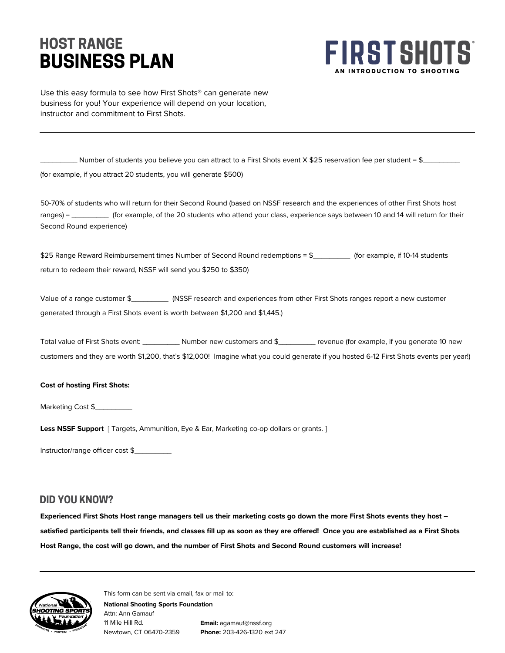# **BUSINESS PLAN HOST RANGE**



Use this easy formula to see how First Shots® can generate new business for you! Your experience will depend on your location, instructor and commitment to First Shots.

 $\Box$  Number of students you believe you can attract to a First Shots event X \$25 reservation fee per student = \$ $\Box$ (for example, if you attract 20 students, you will generate \$500)

50-70% of students who will return for their Second Round (based on NSSF research and the experiences of other First Shots host ranges) = \_\_\_\_\_\_\_\_\_\_\_ (for example, of the 20 students who attend your class, experience says between 10 and 14 will return for their Second Round experience)

\$25 Range Reward Reimbursement times Number of Second Round redemptions = \$\_\_\_\_\_\_\_\_\_\_\_ (for example, if 10-14 students return to redeem their reward, NSSF will send you \$250 to \$350)

Value of a range customer \$\_\_\_\_\_\_\_\_\_ (NSSF research and experiences from other First Shots ranges report a new customer generated through a First Shots event is worth between \$1,200 and \$1,445.)

Total value of First Shots event: Number new customers and \$\_\_\_\_\_\_\_\_\_ revenue (for example, if you generate 10 new customers and they are worth \$1,200, that's \$12,000! Imagine what you could generate if you hosted 6-12 First Shots events per year!)

#### **Cost of hosting First Shots:**

Marketing Cost \$

**Less NSSF Support** [ Targets, Ammunition, Eye & Ear, Marketing co-op dollars or grants. ]

Instructor/range officer cost \$\_\_\_\_\_\_\_\_\_

#### **DID YOU KNOW?**

**Experienced First Shots Host range managers tell us their marketing costs go down the more First Shots events they host – satisfied participants tell their friends, and classes fill up as soon as they are offered! Once you are established as a First Shots Host Range, the cost will go down, and the number of First Shots and Second Round customers will increase!**



This form can be sent via email, fax or mail to:

Attn: Ann Gamauf 11 Mile Hill Rd. Newtown, CT 06470-2359

**National Shooting Sports Foundation**

**Email:** agamauf@nssf.org **Phone:** 203-426-1320 ext 247